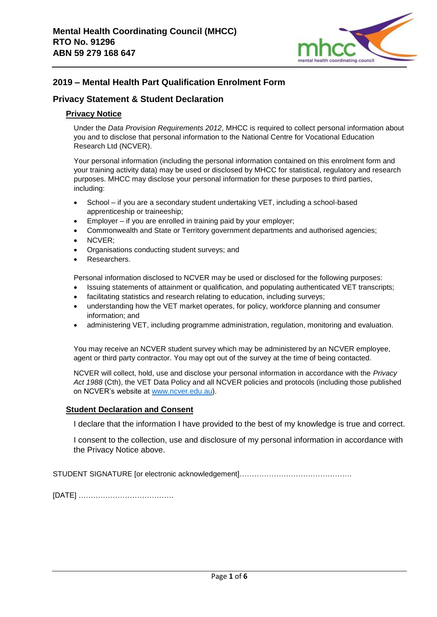

# **2019 – Mental Health Part Qualification Enrolment Form**

## **Privacy Statement & Student Declaration**

## **Privacy Notice**

Under the *Data Provision Requirements 2012*, MHCC is required to collect personal information about you and to disclose that personal information to the National Centre for Vocational Education Research Ltd (NCVER).

Your personal information (including the personal information contained on this enrolment form and your training activity data) may be used or disclosed by MHCC for statistical, regulatory and research purposes. MHCC may disclose your personal information for these purposes to third parties, including:

- School if you are a secondary student undertaking VET, including a school-based apprenticeship or traineeship;
- Employer if you are enrolled in training paid by your employer;
- Commonwealth and State or Territory government departments and authorised agencies;
- NCVER;
- Organisations conducting student surveys; and
- Researchers.

Personal information disclosed to NCVER may be used or disclosed for the following purposes:

- Issuing statements of attainment or qualification, and populating authenticated VET transcripts;
- facilitating statistics and research relating to education, including surveys;
- understanding how the VET market operates, for policy, workforce planning and consumer information; and
- administering VET, including programme administration, regulation, monitoring and evaluation.

You may receive an NCVER student survey which may be administered by an NCVER employee, agent or third party contractor. You may opt out of the survey at the time of being contacted.

NCVER will collect, hold, use and disclose your personal information in accordance with the *Privacy Act 1988* (Cth), the VET Data Policy and all NCVER policies and protocols (including those published on NCVER's website at [www.ncver.edu.au\)](http://www.ncver.edu.au/).

## **Student Declaration and Consent**

I declare that the information I have provided to the best of my knowledge is true and correct.

I consent to the collection, use and disclosure of my personal information in accordance with the Privacy Notice above.

STUDENT SIGNATURE [or electronic acknowledgement]……………………………………….

[DATE] …………………………………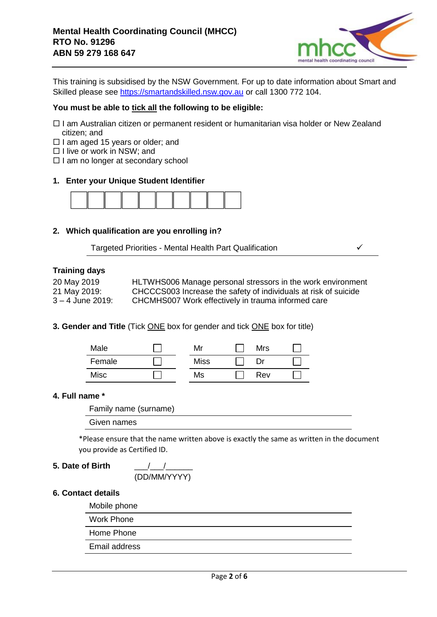

This training is subsidised by the NSW Government. For up to date information about Smart and Skilled please see [https://smartandskilled.nsw.gov.au](https://smartandskilled.nsw.gov.au/) or call 1300 772 104.

### **You must be able to tick all the following to be eligible:**

- □ I am Australian citizen or permanent resident or humanitarian visa holder or New Zealand citizen; and
- $\Box$  I am aged 15 years or older; and
- $\Box$  I live or work in NSW; and
- $\Box$  I am no longer at secondary school

### **1. Enter your Unique Student Identifier**



### **2. Which qualification are you enrolling in?**

Targeted Priorities - Mental Health Part Qualification ✓

## **Training days**

| 20 May 2019        | HLTWHS006 Manage personal stressors in the work environment     |
|--------------------|-----------------------------------------------------------------|
| 21 May 2019:       | CHCCCS003 Increase the safety of individuals at risk of suicide |
| $3 - 4$ June 2019: | CHCMHS007 Work effectively in trauma informed care              |

### **3. Gender and Title** (Tick ONE box for gender and tick ONE box for title)

| Male   | Mr          | <b>Mrs</b> |  |
|--------|-------------|------------|--|
| Female | <b>Miss</b> | Dr         |  |
| Misc   | Ms          | Rev        |  |

### **4. Full name \***

Family name (surname)

Given names

\*Please ensure that the name written above is exactly the same as written in the document you provide as Certified ID.

### **5. Date of Birth** \_\_\_/\_\_\_/\_\_\_\_\_\_

(DD/MM/YYYY)

### **6. Contact details**

Mobile phone

Work Phone

Home Phone

Email address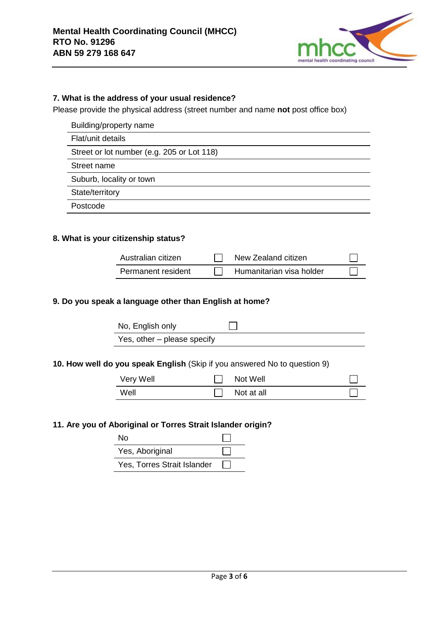

## **7. What is the address of your usual residence?**

Please provide the physical address (street number and name **not** post office box)

| Building/property name |  |
|------------------------|--|
|------------------------|--|

Flat/unit details

Street or lot number (e.g. 205 or Lot 118)

Street name

Suburb, locality or town

State/territory

Postcode

### **8. What is your citizenship status?**

| Australian citizen | New Zealand citizen      |  |
|--------------------|--------------------------|--|
| Permanent resident | Humanitarian visa holder |  |

## **9. Do you speak a language other than English at home?**

| No, English only            |  |
|-----------------------------|--|
| Yes, other – please specify |  |

### **10. How well do you speak English** (Skip if you answered No to question 9)

| Very Well | Not Well   |  |
|-----------|------------|--|
| Well      | Not at all |  |

### **11. Are you of Aboriginal or Torres Strait Islander origin?**

| N٥                          |  |
|-----------------------------|--|
| Yes, Aboriginal             |  |
| Yes, Torres Strait Islander |  |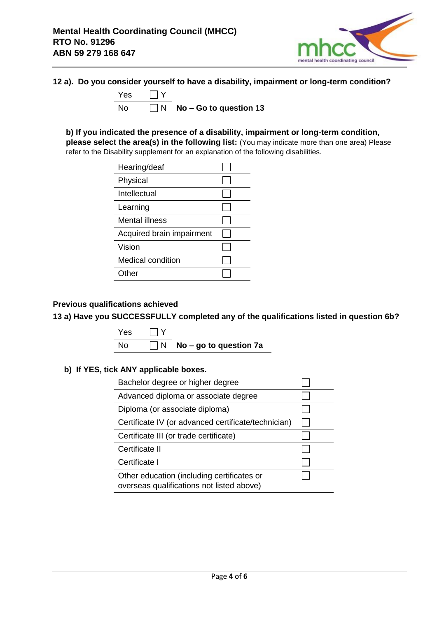

## **12 a). Do you consider yourself to have a disability, impairment or long-term condition?**



**b) If you indicated the presence of a disability, impairment or long-term condition, please select the area(s) in the following list:** (You may indicate more than one area) Please refer to the Disability supplement for an explanation of the following disabilities.

| Hearing/deaf              |  |
|---------------------------|--|
| Physical                  |  |
| Intellectual              |  |
| Learning                  |  |
| Mental illness            |  |
| Acquired brain impairment |  |
| Vision                    |  |
| Medical condition         |  |
| )ther                     |  |

## **Previous qualifications achieved**

**13 a) Have you SUCCESSFULLY completed any of the qualifications listed in question 6b?**

Yes  $\Box$  Y No **No − go to question 7a** 

## **b) If YES, tick ANY applicable boxes.**

| Bachelor degree or higher degree                                                        |  |
|-----------------------------------------------------------------------------------------|--|
| Advanced diploma or associate degree                                                    |  |
| Diploma (or associate diploma)                                                          |  |
| Certificate IV (or advanced certificate/technician)                                     |  |
| Certificate III (or trade certificate)                                                  |  |
| Certificate II                                                                          |  |
| Certificate I                                                                           |  |
| Other education (including certificates or<br>overseas qualifications not listed above) |  |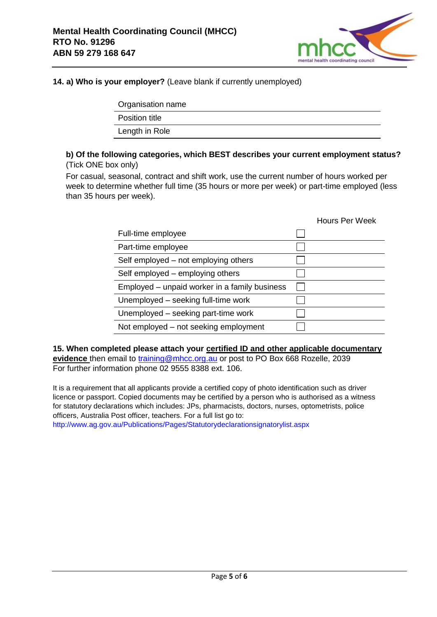

## **14. a) Who is your employer?** (Leave blank if currently unemployed)

| Organisation name     |
|-----------------------|
| <b>Position title</b> |
| Length in Role        |
|                       |

### **b) Of the following categories, which BEST describes your current employment status?**  (Tick ONE box only)

For casual, seasonal, contract and shift work, use the current number of hours worked per week to determine whether full time (35 hours or more per week) or part-time employed (less than 35 hours per week).

|                                               | <b>Hours Per Week</b> |
|-----------------------------------------------|-----------------------|
| Full-time employee                            |                       |
| Part-time employee                            |                       |
| Self employed – not employing others          |                       |
| Self employed - employing others              |                       |
| Employed – unpaid worker in a family business |                       |
| Unemployed – seeking full-time work           |                       |
| Unemployed – seeking part-time work           |                       |
| Not employed – not seeking employment         |                       |

**15. When completed please attach your certified ID and other applicable documentary evidence** then email to [training@mhcc.org.au](mailto:training@mhcc.org.au) or post to PO Box 668 Rozelle, 2039 For further information phone 02 9555 8388 ext. 106.

It is a requirement that all applicants provide a certified copy of photo identification such as driver licence or passport. Copied documents may be certified by a person who is authorised as a witness for statutory declarations which includes: JPs, pharmacists, doctors, nurses, optometrists, police officers, Australia Post officer, teachers. For a full list go to:

http://www.ag.gov.au/Publications/Pages/Statutorydeclarationsignatorylist.aspx